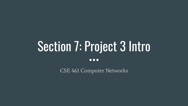# Section 7: Project 3 Intro

 $\bullet\bullet\bullet$ 

CSE 461 Computer Networks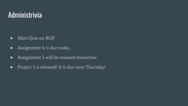#### Administrivia

- Mini Quiz on BGP
- Assignment 4 is due today.
- Assignment 5 will be released tomorrow
- Project 3 is released! It is due next Thursday!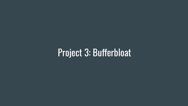## Project 3: Bufferbloat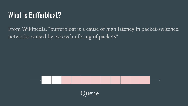#### What is Bufferbloat?

From Wikipedia, "bufferbloat is a cause of high latency in packet-switched networks caused by excess buffering of packets"



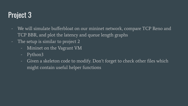### Project 3

- We will simulate bufferbloat on our mininet network, compare TCP Reno and TCP BBR, and plot the latency and queue length graphs
- The setup is similar to project 2
	- Mininet on the Vagrant VM
	- Python3
	- Given a skeleton code to modify. Don't forget to check other files which might contain useful helper functions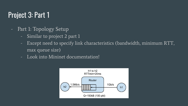#### Project 3: Part 1

- Part 1: Topology Setup
	- Similar to project 2 part 1
	- Except need to specify link characteristics (bandwidth, minimum RTT, max queue size)
	- Look into Mininet documentation!

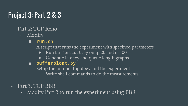#### Project 3: Part 2 & 3

- Part 2: TCP Reno
	- Modify
		- run.sh

A script that runs the experiment with specified parameters

- Run bufferbloat.py on q=20 and q=100
- Generate latency and queue length graphs
- bufferbloat.py

Setup the mininet topology and the experiment

- Write shell commands to do the measurements
- Part 3: TCP BBR
	- Modify Part 2 to run the experiment using BBR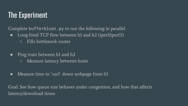#### The Experiment

Complete bufferbloat.py to run the following in parallel

- Long-lived TCP flow between h1 and h2 (iperf/iperf3)
	- Fills bottleneck router
- Ping train between h1 and h2
	- Measure latency between hosts
- Measure time to `curl` down webpage from h1

Goal: See how queue size behaves under congestion, and how that affects latency/download times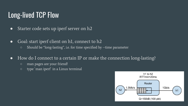#### Long-lived TCP Flow

- Starter code sets up iperf server on h2
- Goal: start iperf client on h1, connect to h2
	- Should be "long-lasting", i.e. for time specified by --time parameter
- How do I connect to a certain IP or make the connection long-lasting?
	- man pages are your friend!
	- type `man iperf` in a Linux terminal

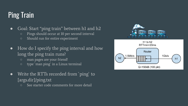### Ping Train

• Goal: Start "ping train" between h1 and h2

- Pings should occur at 10 per second interval
- Should run for entire experiment
- How do I specify the ping interval and how long the ping train runs?
	- man pages are your friend!
	- type `man ping` in a Linux terminal
- Write the RTTs recorded from `ping` to {args.dir}/ping.txt
	- See starter code comments for more detail



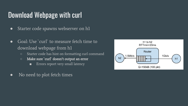#### Download Webpage with curl

- Starter code spawns webserver on h1
- Goal: Use `curl` to measure fetch time to download webpage from h1
	- Starter code has hint on formatting curl command
	- **○** Make sure `curl` doesn't output an error
		- Errors report very small latency
- No need to plot fetch times

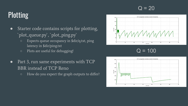#### $Q = 20$

### Plotting

- Starter code contains scripts for plotting, `plot\_queue.py`, `plot\_ping.py`
	- Expects queue occupancy in \$dir/q.txt, ping latency in \$dir/ping.txt
	- Plots are useful for debugging!



 $Q = 100$ 

- Part 3, run same experiments with TCP BBR instead of TCP Reno
	- How do you expect the graph outputs to differ?

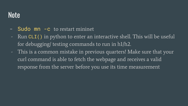#### **Note**

- Sudo mn -c to restart mininet
- Run CLI() in python to enter an interactive shell. This will be useful for debugging/ testing commands to run in h1/h2.
- This is a common mistake in previous quarters! Make sure that your curl command is able to fetch the webpage and receives a valid response from the server before you use its time measurement